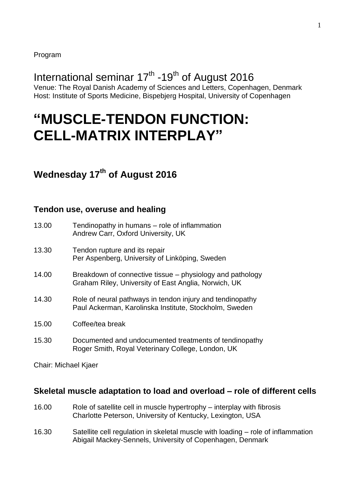# International seminar 17<sup>th</sup> -19<sup>th</sup> of August 2016

Venue: The Royal Danish Academy of Sciences and Letters, Copenhagen, Denmark Host: Institute of Sports Medicine, Bispebjerg Hospital, University of Copenhagen

# **"MUSCLE-TENDON FUNCTION: CELL-MATRIX INTERPLAY"**

## **Wednesday 17 th of August 2016**

#### **Tendon use, overuse and healing**

| 13.00 | Tendinopathy in humans – role of inflammation<br>Andrew Carr, Oxford University, UK                                 |
|-------|---------------------------------------------------------------------------------------------------------------------|
| 13.30 | Tendon rupture and its repair<br>Per Aspenberg, University of Linköping, Sweden                                     |
| 14.00 | Breakdown of connective tissue – physiology and pathology<br>Graham Riley, University of East Anglia, Norwich, UK   |
| 14.30 | Role of neural pathways in tendon injury and tendinopathy<br>Paul Ackerman, Karolinska Institute, Stockholm, Sweden |
| 15.00 | Coffee/tea break                                                                                                    |
| 15.30 | Documented and undocumented treatments of tendinopathy<br>Roger Smith, Royal Veterinary College, London, UK         |

Chair: Michael Kjaer

#### **Skeletal muscle adaptation to load and overload – role of different cells**

- 16.00 Role of satellite cell in muscle hypertrophy interplay with fibrosis Charlotte Peterson, University of Kentucky, Lexington, USA
- 16.30 Satellite cell regulation in skeletal muscle with loading role of inflammation Abigail Mackey-Sennels, University of Copenhagen, Denmark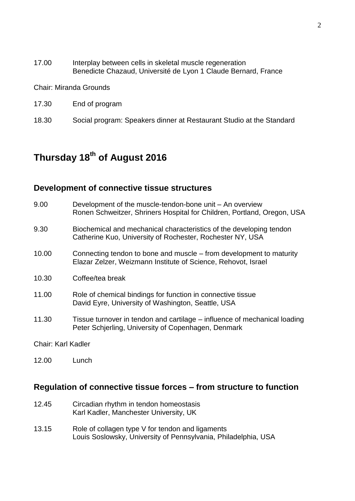17.00 Interplay between cells in skeletal muscle regeneration Benedicte Chazaud, Université de Lyon 1 Claude Bernard, France

Chair: Miranda Grounds

- 17.30 End of program
- 18.30 Social program: Speakers dinner at Restaurant Studio at the Standard

## **Thursday 18 th of August 2016**

## **Development of connective tissue structures**

| 9.00  | Development of the muscle-tendon-bone unit – An overview<br>Ronen Schweitzer, Shriners Hospital for Children, Portland, Oregon, USA  |
|-------|--------------------------------------------------------------------------------------------------------------------------------------|
| 9.30  | Biochemical and mechanical characteristics of the developing tendon<br>Catherine Kuo, University of Rochester, Rochester NY, USA     |
| 10.00 | Connecting tendon to bone and muscle – from development to maturity<br>Elazar Zelzer, Weizmann Institute of Science, Rehovot, Israel |
| 10.30 | Coffee/tea break                                                                                                                     |
| 11.00 | Role of chemical bindings for function in connective tissue<br>David Eyre, University of Washington, Seattle, USA                    |
| 11.30 | Tissue turnover in tendon and cartilage – influence of mechanical loading<br>Peter Schjerling, University of Copenhagen, Denmark     |
|       |                                                                                                                                      |

Chair: Karl Kadler

12.00 Lunch

## **Regulation of connective tissue forces – from structure to function**

- 12.45 Circadian rhythm in tendon homeostasis Karl Kadler, Manchester University, UK
- 13.15 Role of collagen type V for tendon and ligaments Louis Soslowsky, University of Pennsylvania, Philadelphia, USA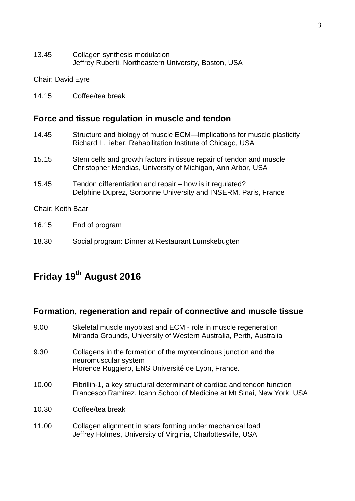13.45 Collagen synthesis modulation Jeffrey Ruberti, Northeastern University, Boston, USA

Chair: David Eyre

14.15 Coffee/tea break

#### **Force and tissue regulation in muscle and tendon**

- 14.45 Structure and biology of muscle ECM—Implications for muscle plasticity Richard L.Lieber, Rehabilitation Institute of Chicago, USA 15.15 Stem cells and growth factors in tissue repair of tendon and muscle Christopher Mendias, University of Michigan, Ann Arbor, USA 15.45 Tendon differentiation and repair – how is it regulated? Delphine Duprez, Sorbonne University and INSERM, Paris, France Chair: Keith Baar 16.15 End of program
- 18.30 Social program: Dinner at Restaurant Lumskebugten

# **Friday 19th August 2016**

#### **Formation, regeneration and repair of connective and muscle tissue**

9.00 Skeletal muscle myoblast and ECM - role in muscle regeneration Miranda Grounds, University of Western Australia, Perth, Australia 9.30 Collagens in the formation of the myotendinous junction and the neuromuscular system Florence Ruggiero, ENS Université de Lyon, France. 10.00 Fibrillin-1, a key structural determinant of cardiac and tendon function Francesco Ramirez, Icahn School of Medicine at Mt Sinai, New York, USA 10.30 Coffee/tea break 11.00 Collagen alignment in scars forming under mechanical load Jeffrey Holmes, University of Virginia, Charlottesville, USA